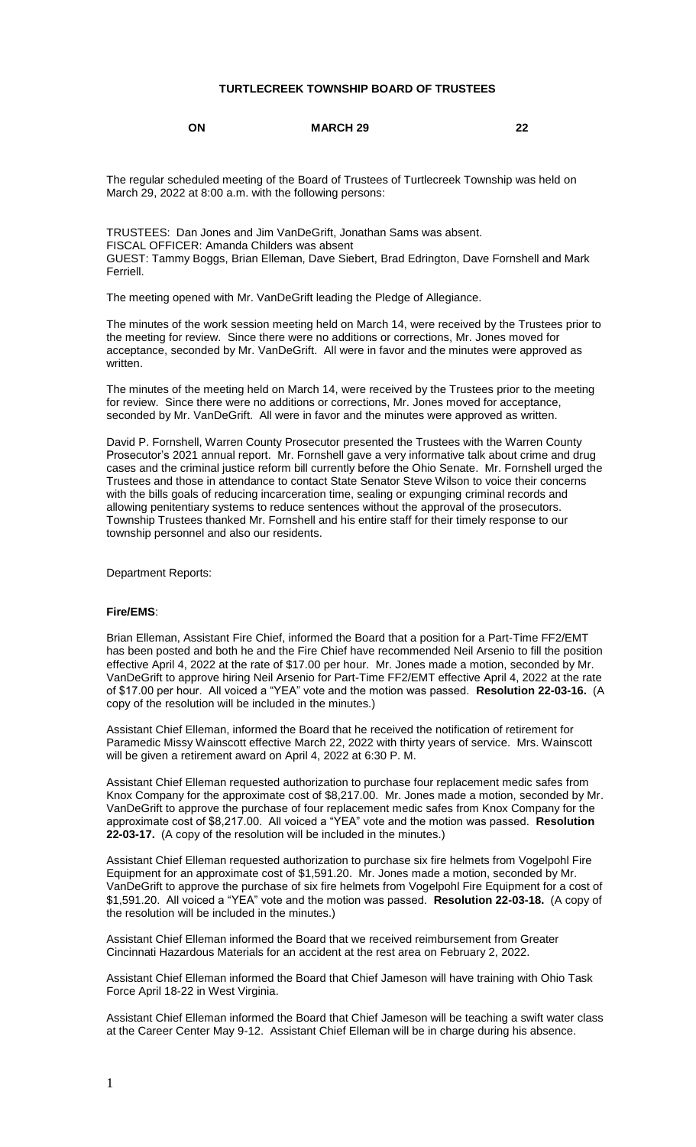## **TURTLECREEK TOWNSHIP BOARD OF TRUSTEES**

## **ON MARCH 29 22**

The regular scheduled meeting of the Board of Trustees of Turtlecreek Township was held on March 29, 2022 at 8:00 a.m. with the following persons:

TRUSTEES: Dan Jones and Jim VanDeGrift, Jonathan Sams was absent. FISCAL OFFICER: Amanda Childers was absent GUEST: Tammy Boggs, Brian Elleman, Dave Siebert, Brad Edrington, Dave Fornshell and Mark Ferriell.

The meeting opened with Mr. VanDeGrift leading the Pledge of Allegiance.

The minutes of the work session meeting held on March 14, were received by the Trustees prior to the meeting for review. Since there were no additions or corrections, Mr. Jones moved for acceptance, seconded by Mr. VanDeGrift. All were in favor and the minutes were approved as written.

The minutes of the meeting held on March 14, were received by the Trustees prior to the meeting for review. Since there were no additions or corrections, Mr. Jones moved for acceptance, seconded by Mr. VanDeGrift. All were in favor and the minutes were approved as written.

David P. Fornshell, Warren County Prosecutor presented the Trustees with the Warren County Prosecutor's 2021 annual report. Mr. Fornshell gave a very informative talk about crime and drug cases and the criminal justice reform bill currently before the Ohio Senate. Mr. Fornshell urged the Trustees and those in attendance to contact State Senator Steve Wilson to voice their concerns with the bills goals of reducing incarceration time, sealing or expunging criminal records and allowing penitentiary systems to reduce sentences without the approval of the prosecutors. Township Trustees thanked Mr. Fornshell and his entire staff for their timely response to our township personnel and also our residents.

Department Reports:

#### **Fire/EMS**:

Brian Elleman, Assistant Fire Chief, informed the Board that a position for a Part-Time FF2/EMT has been posted and both he and the Fire Chief have recommended Neil Arsenio to fill the position effective April 4, 2022 at the rate of \$17.00 per hour. Mr. Jones made a motion, seconded by Mr. VanDeGrift to approve hiring Neil Arsenio for Part-Time FF2/EMT effective April 4, 2022 at the rate of \$17.00 per hour. All voiced a "YEA" vote and the motion was passed. **Resolution 22-03-16.** (A copy of the resolution will be included in the minutes.)

Assistant Chief Elleman, informed the Board that he received the notification of retirement for Paramedic Missy Wainscott effective March 22, 2022 with thirty years of service. Mrs. Wainscott will be given a retirement award on April 4, 2022 at 6:30 P. M.

Assistant Chief Elleman requested authorization to purchase four replacement medic safes from Knox Company for the approximate cost of \$8,217.00. Mr. Jones made a motion, seconded by Mr. VanDeGrift to approve the purchase of four replacement medic safes from Knox Company for the approximate cost of \$8,217.00. All voiced a "YEA" vote and the motion was passed. **Resolution 22-03-17.** (A copy of the resolution will be included in the minutes.)

Assistant Chief Elleman requested authorization to purchase six fire helmets from Vogelpohl Fire Equipment for an approximate cost of \$1,591.20. Mr. Jones made a motion, seconded by Mr. VanDeGrift to approve the purchase of six fire helmets from Vogelpohl Fire Equipment for a cost of \$1,591.20. All voiced a "YEA" vote and the motion was passed. **Resolution 22-03-18.** (A copy of the resolution will be included in the minutes.)

Assistant Chief Elleman informed the Board that we received reimbursement from Greater Cincinnati Hazardous Materials for an accident at the rest area on February 2, 2022.

Assistant Chief Elleman informed the Board that Chief Jameson will have training with Ohio Task Force April 18-22 in West Virginia.

Assistant Chief Elleman informed the Board that Chief Jameson will be teaching a swift water class at the Career Center May 9-12. Assistant Chief Elleman will be in charge during his absence.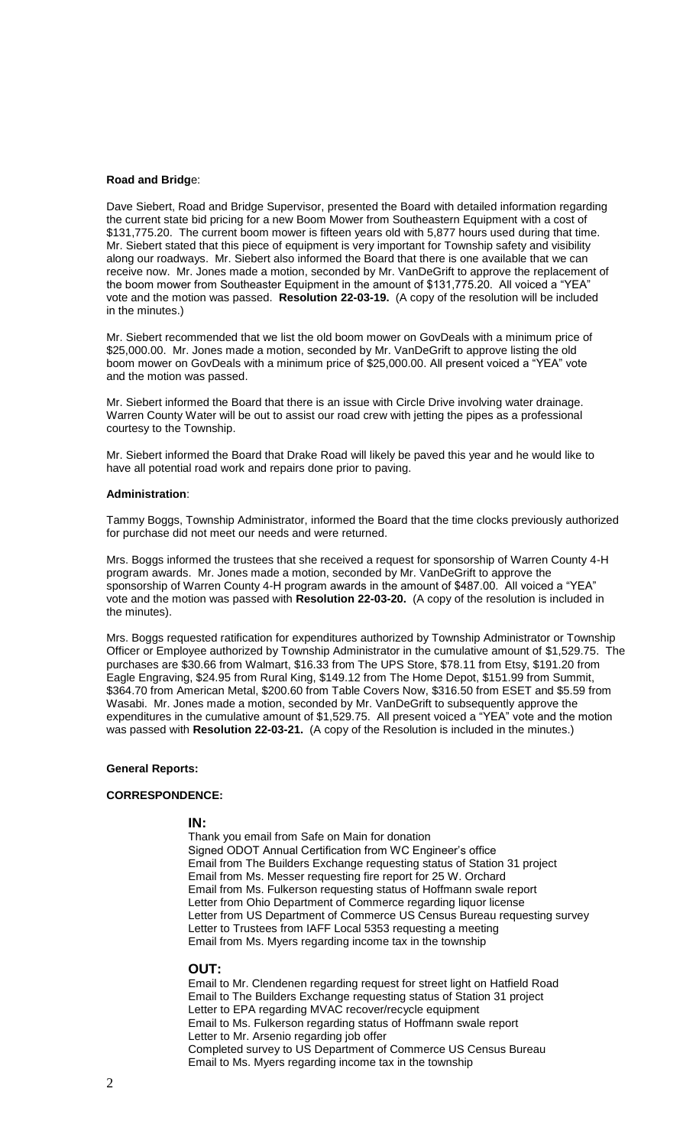### **Road and Bridg**e:

Dave Siebert, Road and Bridge Supervisor, presented the Board with detailed information regarding the current state bid pricing for a new Boom Mower from Southeastern Equipment with a cost of \$131,775.20. The current boom mower is fifteen years old with 5,877 hours used during that time. Mr. Siebert stated that this piece of equipment is very important for Township safety and visibility along our roadways. Mr. Siebert also informed the Board that there is one available that we can receive now. Mr. Jones made a motion, seconded by Mr. VanDeGrift to approve the replacement of the boom mower from Southeaster Equipment in the amount of \$131,775.20. All voiced a "YEA" vote and the motion was passed. **Resolution 22-03-19.** (A copy of the resolution will be included in the minutes.)

Mr. Siebert recommended that we list the old boom mower on GovDeals with a minimum price of \$25,000.00. Mr. Jones made a motion, seconded by Mr. VanDeGrift to approve listing the old boom mower on GovDeals with a minimum price of \$25,000.00. All present voiced a "YEA" vote and the motion was passed.

Mr. Siebert informed the Board that there is an issue with Circle Drive involving water drainage. Warren County Water will be out to assist our road crew with jetting the pipes as a professional courtesy to the Township.

Mr. Siebert informed the Board that Drake Road will likely be paved this year and he would like to have all potential road work and repairs done prior to paving.

#### **Administration**:

Tammy Boggs, Township Administrator, informed the Board that the time clocks previously authorized for purchase did not meet our needs and were returned.

Mrs. Boggs informed the trustees that she received a request for sponsorship of Warren County 4-H program awards. Mr. Jones made a motion, seconded by Mr. VanDeGrift to approve the sponsorship of Warren County 4-H program awards in the amount of \$487.00. All voiced a "YEA" vote and the motion was passed with **Resolution 22-03-20.** (A copy of the resolution is included in the minutes).

Mrs. Boggs requested ratification for expenditures authorized by Township Administrator or Township Officer or Employee authorized by Township Administrator in the cumulative amount of \$1,529.75. The purchases are \$30.66 from Walmart, \$16.33 from The UPS Store, \$78.11 from Etsy, \$191.20 from Eagle Engraving, \$24.95 from Rural King, \$149.12 from The Home Depot, \$151.99 from Summit, \$364.70 from American Metal, \$200.60 from Table Covers Now, \$316.50 from ESET and \$5.59 from Wasabi. Mr. Jones made a motion, seconded by Mr. VanDeGrift to subsequently approve the expenditures in the cumulative amount of \$1,529.75. All present voiced a "YEA" vote and the motion was passed with **Resolution 22-03-21.** (A copy of the Resolution is included in the minutes.)

## **General Reports:**

#### **CORRESPONDENCE:**

#### **IN:**

Thank you email from Safe on Main for donation Signed ODOT Annual Certification from WC Engineer's office Email from The Builders Exchange requesting status of Station 31 project Email from Ms. Messer requesting fire report for 25 W. Orchard Email from Ms. Fulkerson requesting status of Hoffmann swale report Letter from Ohio Department of Commerce regarding liquor license Letter from US Department of Commerce US Census Bureau requesting survey Letter to Trustees from IAFF Local 5353 requesting a meeting Email from Ms. Myers regarding income tax in the township

#### **OUT:**

Email to Mr. Clendenen regarding request for street light on Hatfield Road Email to The Builders Exchange requesting status of Station 31 project Letter to EPA regarding MVAC recover/recycle equipment Email to Ms. Fulkerson regarding status of Hoffmann swale report Letter to Mr. Arsenio regarding job offer Completed survey to US Department of Commerce US Census Bureau Email to Ms. Myers regarding income tax in the township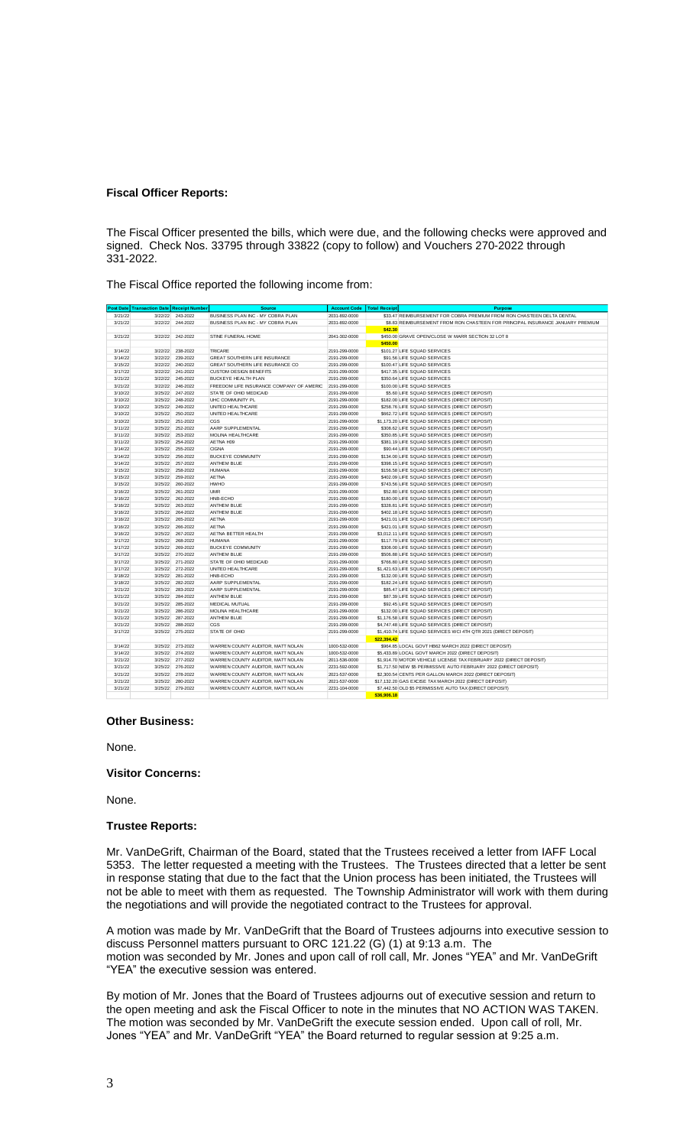#### **Fiscal Officer Reports:**

The Fiscal Officer presented the bills, which were due, and the following checks were approved and signed. Check Nos. 33795 through 33822 (copy to follow) and Vouchers 270-2022 through 331-2022.

The Fiscal Office reported the following income from:

| 3/21/22<br>243-2022<br>BUSINESS PLAN INC - MY COBRA PLAN<br>\$33.47 REIMBURSEMENT FOR COBRA PREMIUM FROM RON CHASTEEN DELTA DENTAL<br>3/22/22<br>2031-892-0000<br>3/21/22<br>3/22/22<br>244-2022<br>BUSINESS PLAN INC - MY COBRA PLAN<br>2031-892-0000<br>\$8.83 REIMBURSEMENT FROM RON CHASTEEN FOR PRINCIPAL INSURANCE JANUARY PREMIUM<br>\$42.30<br>242-2022<br>3/21/22<br>3/22/22<br>STINE FUNERAL HOME<br>\$450.00 GRAVE OPEN/CLOSE W MARR SECTION 32 LOT 8<br>2041-302-0000<br>\$450.00<br>3/14/22<br>3/22/22<br>238-2022<br><b>TRICARE</b><br>2191-299-0000<br>\$101.27 LIFE SQUAD SERVICES<br>3/14/22<br>3/22/22<br>239-2022<br>GREAT SOUTHERN LIFE INSURANCE<br>\$91.56 LIFE SQUAD SERVICES<br>2191-299-0000<br>3/15/22<br>3/22/22<br>240-2022<br>GREAT SOUTHERN LIFE INSURANCE CO<br>2191-299-0000<br>\$100.47 LIFE SQUAD SERVICES<br>3/17/22<br>3/22/22<br>241-2022<br>\$417.35 LIFE SQUAD SERVICES<br><b>CUSTOM DESIGN BENEFITS</b><br>2191-299-0000<br>3/21/22<br>3/22/22<br>245-2022<br>BUCKEYE HEALTH PLAN<br>2191-299-0000<br>\$350.64 LIFE SQUAD SERVICES<br>3/21/22<br>3/22/22<br>246-2022<br>FREEDOM LIFE INSURANCE COMPANY OF AMERIC<br>\$100,00 LIFE SQUAD SERVICES<br>2191-299-0000<br>3/10/22<br>3/25/22<br>247-2022<br>STATE OF OHIO MEDICAID<br>\$5.60 LIFE SQUAD SERVICES (DIRECT DEPOSIT)<br>2191-299-0000<br>3/10/22<br>3/25/22<br>248-2022<br>\$182.00 LIFE SQUAD SERVICES (DIRECT DEPOSIT)<br>UHC COMMUNITY PL<br>2191-299-0000<br>3/10/22<br>3/25/22<br>249-2022<br>UNITED HEALTHCARE<br>2191-299-0000<br>\$258.76 LIFE SQUAD SERVICES (DIRECT DEPOSIT)<br>3/10/22<br>250-2022<br>\$662.72 LIFE SQUAD SERVICES (DIRECT DEPOSIT)<br>3/25/22<br>UNITED HEALTHCARE<br>2191-299-0000<br>3/10/22<br>3/25/22<br>251-2022<br>CGS<br>2191-299-0000<br>\$1,173.20 LIFE SQUAD SERVICES (DIRECT DEPOSIT)<br>3/11/22<br>252-2022<br>AARP SUPPLEMENTAL<br>\$308.62 LIFE SQUAD SERVICES (DIRECT DEPOSIT)<br>3/25/22<br>2191-299-0000<br>3/11/22<br>3/25/22<br>253-2022<br>MOLINA HEALTHCARE<br>\$350.85 LIFE SQUAD SERVICES (DIRECT DEPOSIT)<br>2191-299-0000<br>3/11/22<br>3/25/22<br>254-2022<br>AETNA H09<br>\$381.19 LIFE SQUAD SERVICES (DIRECT DEPOSIT)<br>2191-299-0000<br>3/14/22<br>3/25/22<br>255-2022<br><b>CIGNA</b><br>2191-299-0000<br>\$90.44 LIFE SQUAD SERVICES (DIRECT DEPOSIT)<br>3/14/22<br>256-2022<br><b>BUCKEYE COMMUNITY</b><br>\$134.00 LIFE SQUAD SERVICES (DIRECT DEPOSIT)<br>3/25/22<br>2191-299-0000<br>3/14/22<br>257-2022<br>\$398.15 LIFE SQUAD SERVICES (DIRECT DEPOSIT)<br>3/25/22<br>ANTHEM BLUE<br>2191-299-0000<br>258-2022<br><b>HUMANA</b><br>\$156.58 LIFE SQUAD SERVICES (DIRECT DEPOSIT)<br>3/15/22<br>3/25/22<br>2191-299-0000<br>3/15/22<br>3/25/22<br>259-2022<br><b>AETNA</b><br>\$402.09 LIFE SQUAD SERVICES (DIRECT DEPOSIT)<br>2191-299-0000<br>260-2022<br><b>HWHO</b><br>3/15/22<br>3/25/22<br>\$743.56 LIFE SQUAD SERVICES (DIRECT DEPOSIT)<br>2191-299-0000<br>3/16/22<br>3/25/22<br>261-2022<br><b>UMR</b><br>2191-299-0000<br>\$52.80 LIFE SQUAD SERVICES (DIRECT DEPOSIT)<br>3/16/22<br>262-2022<br>\$180.00 LIFE SQUAD SERVICES (DIRECT DEPOSIT)<br>3/25/22<br>HNB-ECHO<br>2191-299-0000<br>3/16/22<br>3/25/22<br>263-2022<br>\$328.81 LIFE SQUAD SERVICES (DIRECT DEPOSIT)<br>ANTHEM BLUE<br>2191-299-0000<br>264-2022<br>ANTHEM BLUE<br>\$402.18 LIFE SQUAD SERVICES (DIRECT DEPOSIT)<br>3/16/22<br>3/25/22<br>2191-299-0000<br>3/16/22<br>3/25/22<br>265-2022<br><b>AETNA</b><br>\$421.01 LIFE SQUAD SERVICES (DIRECT DEPOSIT)<br>2191-299-0000<br>266-2022<br>3/16/22<br>3/25/22<br><b>AETNA</b><br>\$421.01 LIFE SQUAD SERVICES (DIRECT DEPOSIT)<br>2191-299-0000<br>3/16/22<br>3/25/22<br>267-2022<br>AETNA BETTER HEALTH<br>2191-299-0000<br>\$3,012.11 LIFE SQUAD SERVICES (DIRECT DEPOSIT)<br>3/17/22<br>268-2022<br>\$117.79 LIFE SQUAD SERVICES (DIRECT DEPOSIT)<br>3/25/22<br><b>HUMANA</b><br>2191-299-0000<br>3/17/22<br>3/25/22<br>269-2022<br>\$308.00 LIFE SQUAD SERVICES (DIRECT DEPOSIT)<br><b>BUCKEYE COMMUNITY</b><br>2191-299-0000<br>270-2022<br>\$506.88 LIFE SQUAD SERVICES (DIRECT DEPOSIT)<br>3/17/22<br>3/25/22<br><b>ANTHEM BLUE</b><br>2191-299-0000<br>3/17/22<br>3/25/22<br>271-2022<br>STATE OF OHIO MEDICAID<br>\$766.80 LIFE SQUAD SERVICES (DIRECT DEPOSIT)<br>2191-299-0000<br>3/17/22<br>272-2022<br>3/25/22<br>UNITED HEALTHCARE<br>\$1,421.63 LIFE SQUAD SERVICES (DIRECT DEPOSIT)<br>2191-299-0000<br>3/18/22<br>3/25/22<br>281-2022<br>HNB-ECHO<br>2191-299-0000<br>\$132.00 LIFE SQUAD SERVICES (DIRECT DEPOSIT)<br>3/18/22<br>282-2022<br>\$182.24 LIFE SQUAD SERVICES (DIRECT DEPOSIT)<br>3/25/22<br>AARP SUPPLEMENTAL<br>2191-299-0000<br>3/21/22<br>3/25/22<br>283-2022<br>AARP SUPPLEMENTAL<br>\$85.47 LIFE SQUAD SERVICES (DIRECT DEPOSIT)<br>2191-299-0000<br>284-2022<br>\$87.39 LIFE SQUAD SERVICES (DIRECT DEPOSIT)<br>3/21/22<br>3/25/22<br>ANTHEM BLUE<br>2191-299-0000<br>3/21/22<br>3/25/22<br>285-2022<br>MEDICAL MUTUAL<br>\$92.45 LIFE SQUAD SERVICES (DIRECT DEPOSIT)<br>2191-299-0000<br>286-2022<br>3/21/22<br>3/25/22<br>MOLINA HEALTHCARE<br>\$132.00 LIFE SQUAD SERVICES (DIRECT DEPOSIT)<br>2191-299-0000<br>3/21/22<br>3/25/22<br>287-2022<br><b>ANTHEM BLUE</b><br>2191-299-0000<br>\$1,176,58 LIFE SQUAD SERVICES (DIRECT DEPOSIT)<br>3/21/22<br>288-2022<br>\$4,747.48 LIFE SQUAD SERVICES (DIRECT DEPOSIT)<br>3/25/22<br>CGS<br>2191-299-0000<br>3/17/22<br>3/25/22<br>275-2022<br>STATE OF OHIO<br>2191-299-0000<br>\$1,410.74 LIFE SQUAD SERVICES WCI 4TH QTR 2021 (DIRECT DEPOSIT)<br>\$22,394.42<br>3/14/22<br>3/25/22<br>273-2022<br>WARREN COUNTY AUDITOR, MATT NOLAN<br>1000-532-0000<br>\$964.85 LOCAL GOVT HB62 MARCH 2022 (DIRECT DEPOSIT)<br>3/14/22<br>274-2022<br>WARREN COUNTY AUDITOR, MATT NOLAN<br>\$5,433.89 LOCAL GOVT MARCH 2022 (DIRECT DEPOSIT)<br>3/25/22<br>1000-532-0000<br>3/25/22 277-2022<br>3/21/22<br>WARREN COUNTY AUDITOR, MATT NOLAN<br>\$1,914.70 MOTOR VEHICLE LICENSE TAX FEBRUARY 2022 (DIRECT DEPOSIT)<br>2011-536-0000<br>3/21/22<br>276-2022<br>\$1,717.50 NEW \$5 PERMISSIVE AUTO FEBRUARY 2022 (DIRECT DEPOSIT)<br>3/25/22<br>WARREN COUNTY AUDITOR, MATT NOLAN<br>2231-592-0000<br>3/21/22<br>3/25/22<br>278-2022<br>WARREN COUNTY AUDITOR, MATT NOLAN<br>\$2,300.54 CENTS PER GALLON MARCH 2022 (DIRECT DEPOSIT)<br>2021-537-0000<br>280-2022<br>\$17,132.20 GAS EXCISE TAX MARCH 2022 (DIRECT DEPOSIT)<br>3/21/22<br>3/25/22<br>WARREN COUNTY AUDITOR, MATT NOLAN<br>2021-537-0000<br>3/21/22<br>3/25/22<br>279-2022<br>WARREN COUNTY AUDITOR, MATT NOLAN<br>2231-104-0000<br>\$7,442.50 OLD \$5 PERMISSIVE AUTO TAX (DIRECT DEPOSIT) | Post Date Transaction Date Receipt Number | <b>Source</b> | <b>Account Code</b> | <b>Total Receipt</b> | <b>Purpose</b> |
|--------------------------------------------------------------------------------------------------------------------------------------------------------------------------------------------------------------------------------------------------------------------------------------------------------------------------------------------------------------------------------------------------------------------------------------------------------------------------------------------------------------------------------------------------------------------------------------------------------------------------------------------------------------------------------------------------------------------------------------------------------------------------------------------------------------------------------------------------------------------------------------------------------------------------------------------------------------------------------------------------------------------------------------------------------------------------------------------------------------------------------------------------------------------------------------------------------------------------------------------------------------------------------------------------------------------------------------------------------------------------------------------------------------------------------------------------------------------------------------------------------------------------------------------------------------------------------------------------------------------------------------------------------------------------------------------------------------------------------------------------------------------------------------------------------------------------------------------------------------------------------------------------------------------------------------------------------------------------------------------------------------------------------------------------------------------------------------------------------------------------------------------------------------------------------------------------------------------------------------------------------------------------------------------------------------------------------------------------------------------------------------------------------------------------------------------------------------------------------------------------------------------------------------------------------------------------------------------------------------------------------------------------------------------------------------------------------------------------------------------------------------------------------------------------------------------------------------------------------------------------------------------------------------------------------------------------------------------------------------------------------------------------------------------------------------------------------------------------------------------------------------------------------------------------------------------------------------------------------------------------------------------------------------------------------------------------------------------------------------------------------------------------------------------------------------------------------------------------------------------------------------------------------------------------------------------------------------------------------------------------------------------------------------------------------------------------------------------------------------------------------------------------------------------------------------------------------------------------------------------------------------------------------------------------------------------------------------------------------------------------------------------------------------------------------------------------------------------------------------------------------------------------------------------------------------------------------------------------------------------------------------------------------------------------------------------------------------------------------------------------------------------------------------------------------------------------------------------------------------------------------------------------------------------------------------------------------------------------------------------------------------------------------------------------------------------------------------------------------------------------------------------------------------------------------------------------------------------------------------------------------------------------------------------------------------------------------------------------------------------------------------------------------------------------------------------------------------------------------------------------------------------------------------------------------------------------------------------------------------------------------------------------------------------------------------------------------------------------------------------------------------------------------------------------------------------------------------------------------------------------------------------------------------------------------------------------------------------------------------------------------------------------------------------------------------------------------------------------------------------------------------------------------------------------------------------------------------------------------------------------------------------------------------------------------------------------------------------------------------------------------------------------------------------------------------------------------------------------------------------------------------------------------------------------------------------------------------------------------------------------------------------------------------------------------------------------------------------------------------------------------------------------------------------------------------------------------------------------------------------------------------------------------------------------------------------------------------------------------------------------------------|-------------------------------------------|---------------|---------------------|----------------------|----------------|
|                                                                                                                                                                                                                                                                                                                                                                                                                                                                                                                                                                                                                                                                                                                                                                                                                                                                                                                                                                                                                                                                                                                                                                                                                                                                                                                                                                                                                                                                                                                                                                                                                                                                                                                                                                                                                                                                                                                                                                                                                                                                                                                                                                                                                                                                                                                                                                                                                                                                                                                                                                                                                                                                                                                                                                                                                                                                                                                                                                                                                                                                                                                                                                                                                                                                                                                                                                                                                                                                                                                                                                                                                                                                                                                                                                                                                                                                                                                                                                                                                                                                                                                                                                                                                                                                                                                                                                                                                                                                                                                                                                                                                                                                                                                                                                                                                                                                                                                                                                                                                                                                                                                                                                                                                                                                                                                                                                                                                                                                                                                                                                                                                                                                                                                                                                                                                                                                                                                                                                                                                                                                                                                                                                                                                                                                                                                                                                                                                                                                                                                                                                                                                                      |                                           |               |                     |                      |                |
|                                                                                                                                                                                                                                                                                                                                                                                                                                                                                                                                                                                                                                                                                                                                                                                                                                                                                                                                                                                                                                                                                                                                                                                                                                                                                                                                                                                                                                                                                                                                                                                                                                                                                                                                                                                                                                                                                                                                                                                                                                                                                                                                                                                                                                                                                                                                                                                                                                                                                                                                                                                                                                                                                                                                                                                                                                                                                                                                                                                                                                                                                                                                                                                                                                                                                                                                                                                                                                                                                                                                                                                                                                                                                                                                                                                                                                                                                                                                                                                                                                                                                                                                                                                                                                                                                                                                                                                                                                                                                                                                                                                                                                                                                                                                                                                                                                                                                                                                                                                                                                                                                                                                                                                                                                                                                                                                                                                                                                                                                                                                                                                                                                                                                                                                                                                                                                                                                                                                                                                                                                                                                                                                                                                                                                                                                                                                                                                                                                                                                                                                                                                                                                      |                                           |               |                     |                      |                |
|                                                                                                                                                                                                                                                                                                                                                                                                                                                                                                                                                                                                                                                                                                                                                                                                                                                                                                                                                                                                                                                                                                                                                                                                                                                                                                                                                                                                                                                                                                                                                                                                                                                                                                                                                                                                                                                                                                                                                                                                                                                                                                                                                                                                                                                                                                                                                                                                                                                                                                                                                                                                                                                                                                                                                                                                                                                                                                                                                                                                                                                                                                                                                                                                                                                                                                                                                                                                                                                                                                                                                                                                                                                                                                                                                                                                                                                                                                                                                                                                                                                                                                                                                                                                                                                                                                                                                                                                                                                                                                                                                                                                                                                                                                                                                                                                                                                                                                                                                                                                                                                                                                                                                                                                                                                                                                                                                                                                                                                                                                                                                                                                                                                                                                                                                                                                                                                                                                                                                                                                                                                                                                                                                                                                                                                                                                                                                                                                                                                                                                                                                                                                                                      |                                           |               |                     |                      |                |
|                                                                                                                                                                                                                                                                                                                                                                                                                                                                                                                                                                                                                                                                                                                                                                                                                                                                                                                                                                                                                                                                                                                                                                                                                                                                                                                                                                                                                                                                                                                                                                                                                                                                                                                                                                                                                                                                                                                                                                                                                                                                                                                                                                                                                                                                                                                                                                                                                                                                                                                                                                                                                                                                                                                                                                                                                                                                                                                                                                                                                                                                                                                                                                                                                                                                                                                                                                                                                                                                                                                                                                                                                                                                                                                                                                                                                                                                                                                                                                                                                                                                                                                                                                                                                                                                                                                                                                                                                                                                                                                                                                                                                                                                                                                                                                                                                                                                                                                                                                                                                                                                                                                                                                                                                                                                                                                                                                                                                                                                                                                                                                                                                                                                                                                                                                                                                                                                                                                                                                                                                                                                                                                                                                                                                                                                                                                                                                                                                                                                                                                                                                                                                                      |                                           |               |                     |                      |                |
|                                                                                                                                                                                                                                                                                                                                                                                                                                                                                                                                                                                                                                                                                                                                                                                                                                                                                                                                                                                                                                                                                                                                                                                                                                                                                                                                                                                                                                                                                                                                                                                                                                                                                                                                                                                                                                                                                                                                                                                                                                                                                                                                                                                                                                                                                                                                                                                                                                                                                                                                                                                                                                                                                                                                                                                                                                                                                                                                                                                                                                                                                                                                                                                                                                                                                                                                                                                                                                                                                                                                                                                                                                                                                                                                                                                                                                                                                                                                                                                                                                                                                                                                                                                                                                                                                                                                                                                                                                                                                                                                                                                                                                                                                                                                                                                                                                                                                                                                                                                                                                                                                                                                                                                                                                                                                                                                                                                                                                                                                                                                                                                                                                                                                                                                                                                                                                                                                                                                                                                                                                                                                                                                                                                                                                                                                                                                                                                                                                                                                                                                                                                                                                      |                                           |               |                     |                      |                |
|                                                                                                                                                                                                                                                                                                                                                                                                                                                                                                                                                                                                                                                                                                                                                                                                                                                                                                                                                                                                                                                                                                                                                                                                                                                                                                                                                                                                                                                                                                                                                                                                                                                                                                                                                                                                                                                                                                                                                                                                                                                                                                                                                                                                                                                                                                                                                                                                                                                                                                                                                                                                                                                                                                                                                                                                                                                                                                                                                                                                                                                                                                                                                                                                                                                                                                                                                                                                                                                                                                                                                                                                                                                                                                                                                                                                                                                                                                                                                                                                                                                                                                                                                                                                                                                                                                                                                                                                                                                                                                                                                                                                                                                                                                                                                                                                                                                                                                                                                                                                                                                                                                                                                                                                                                                                                                                                                                                                                                                                                                                                                                                                                                                                                                                                                                                                                                                                                                                                                                                                                                                                                                                                                                                                                                                                                                                                                                                                                                                                                                                                                                                                                                      |                                           |               |                     |                      |                |
|                                                                                                                                                                                                                                                                                                                                                                                                                                                                                                                                                                                                                                                                                                                                                                                                                                                                                                                                                                                                                                                                                                                                                                                                                                                                                                                                                                                                                                                                                                                                                                                                                                                                                                                                                                                                                                                                                                                                                                                                                                                                                                                                                                                                                                                                                                                                                                                                                                                                                                                                                                                                                                                                                                                                                                                                                                                                                                                                                                                                                                                                                                                                                                                                                                                                                                                                                                                                                                                                                                                                                                                                                                                                                                                                                                                                                                                                                                                                                                                                                                                                                                                                                                                                                                                                                                                                                                                                                                                                                                                                                                                                                                                                                                                                                                                                                                                                                                                                                                                                                                                                                                                                                                                                                                                                                                                                                                                                                                                                                                                                                                                                                                                                                                                                                                                                                                                                                                                                                                                                                                                                                                                                                                                                                                                                                                                                                                                                                                                                                                                                                                                                                                      |                                           |               |                     |                      |                |
|                                                                                                                                                                                                                                                                                                                                                                                                                                                                                                                                                                                                                                                                                                                                                                                                                                                                                                                                                                                                                                                                                                                                                                                                                                                                                                                                                                                                                                                                                                                                                                                                                                                                                                                                                                                                                                                                                                                                                                                                                                                                                                                                                                                                                                                                                                                                                                                                                                                                                                                                                                                                                                                                                                                                                                                                                                                                                                                                                                                                                                                                                                                                                                                                                                                                                                                                                                                                                                                                                                                                                                                                                                                                                                                                                                                                                                                                                                                                                                                                                                                                                                                                                                                                                                                                                                                                                                                                                                                                                                                                                                                                                                                                                                                                                                                                                                                                                                                                                                                                                                                                                                                                                                                                                                                                                                                                                                                                                                                                                                                                                                                                                                                                                                                                                                                                                                                                                                                                                                                                                                                                                                                                                                                                                                                                                                                                                                                                                                                                                                                                                                                                                                      |                                           |               |                     |                      |                |
|                                                                                                                                                                                                                                                                                                                                                                                                                                                                                                                                                                                                                                                                                                                                                                                                                                                                                                                                                                                                                                                                                                                                                                                                                                                                                                                                                                                                                                                                                                                                                                                                                                                                                                                                                                                                                                                                                                                                                                                                                                                                                                                                                                                                                                                                                                                                                                                                                                                                                                                                                                                                                                                                                                                                                                                                                                                                                                                                                                                                                                                                                                                                                                                                                                                                                                                                                                                                                                                                                                                                                                                                                                                                                                                                                                                                                                                                                                                                                                                                                                                                                                                                                                                                                                                                                                                                                                                                                                                                                                                                                                                                                                                                                                                                                                                                                                                                                                                                                                                                                                                                                                                                                                                                                                                                                                                                                                                                                                                                                                                                                                                                                                                                                                                                                                                                                                                                                                                                                                                                                                                                                                                                                                                                                                                                                                                                                                                                                                                                                                                                                                                                                                      |                                           |               |                     |                      |                |
|                                                                                                                                                                                                                                                                                                                                                                                                                                                                                                                                                                                                                                                                                                                                                                                                                                                                                                                                                                                                                                                                                                                                                                                                                                                                                                                                                                                                                                                                                                                                                                                                                                                                                                                                                                                                                                                                                                                                                                                                                                                                                                                                                                                                                                                                                                                                                                                                                                                                                                                                                                                                                                                                                                                                                                                                                                                                                                                                                                                                                                                                                                                                                                                                                                                                                                                                                                                                                                                                                                                                                                                                                                                                                                                                                                                                                                                                                                                                                                                                                                                                                                                                                                                                                                                                                                                                                                                                                                                                                                                                                                                                                                                                                                                                                                                                                                                                                                                                                                                                                                                                                                                                                                                                                                                                                                                                                                                                                                                                                                                                                                                                                                                                                                                                                                                                                                                                                                                                                                                                                                                                                                                                                                                                                                                                                                                                                                                                                                                                                                                                                                                                                                      |                                           |               |                     |                      |                |
|                                                                                                                                                                                                                                                                                                                                                                                                                                                                                                                                                                                                                                                                                                                                                                                                                                                                                                                                                                                                                                                                                                                                                                                                                                                                                                                                                                                                                                                                                                                                                                                                                                                                                                                                                                                                                                                                                                                                                                                                                                                                                                                                                                                                                                                                                                                                                                                                                                                                                                                                                                                                                                                                                                                                                                                                                                                                                                                                                                                                                                                                                                                                                                                                                                                                                                                                                                                                                                                                                                                                                                                                                                                                                                                                                                                                                                                                                                                                                                                                                                                                                                                                                                                                                                                                                                                                                                                                                                                                                                                                                                                                                                                                                                                                                                                                                                                                                                                                                                                                                                                                                                                                                                                                                                                                                                                                                                                                                                                                                                                                                                                                                                                                                                                                                                                                                                                                                                                                                                                                                                                                                                                                                                                                                                                                                                                                                                                                                                                                                                                                                                                                                                      |                                           |               |                     |                      |                |
|                                                                                                                                                                                                                                                                                                                                                                                                                                                                                                                                                                                                                                                                                                                                                                                                                                                                                                                                                                                                                                                                                                                                                                                                                                                                                                                                                                                                                                                                                                                                                                                                                                                                                                                                                                                                                                                                                                                                                                                                                                                                                                                                                                                                                                                                                                                                                                                                                                                                                                                                                                                                                                                                                                                                                                                                                                                                                                                                                                                                                                                                                                                                                                                                                                                                                                                                                                                                                                                                                                                                                                                                                                                                                                                                                                                                                                                                                                                                                                                                                                                                                                                                                                                                                                                                                                                                                                                                                                                                                                                                                                                                                                                                                                                                                                                                                                                                                                                                                                                                                                                                                                                                                                                                                                                                                                                                                                                                                                                                                                                                                                                                                                                                                                                                                                                                                                                                                                                                                                                                                                                                                                                                                                                                                                                                                                                                                                                                                                                                                                                                                                                                                                      |                                           |               |                     |                      |                |
|                                                                                                                                                                                                                                                                                                                                                                                                                                                                                                                                                                                                                                                                                                                                                                                                                                                                                                                                                                                                                                                                                                                                                                                                                                                                                                                                                                                                                                                                                                                                                                                                                                                                                                                                                                                                                                                                                                                                                                                                                                                                                                                                                                                                                                                                                                                                                                                                                                                                                                                                                                                                                                                                                                                                                                                                                                                                                                                                                                                                                                                                                                                                                                                                                                                                                                                                                                                                                                                                                                                                                                                                                                                                                                                                                                                                                                                                                                                                                                                                                                                                                                                                                                                                                                                                                                                                                                                                                                                                                                                                                                                                                                                                                                                                                                                                                                                                                                                                                                                                                                                                                                                                                                                                                                                                                                                                                                                                                                                                                                                                                                                                                                                                                                                                                                                                                                                                                                                                                                                                                                                                                                                                                                                                                                                                                                                                                                                                                                                                                                                                                                                                                                      |                                           |               |                     |                      |                |
|                                                                                                                                                                                                                                                                                                                                                                                                                                                                                                                                                                                                                                                                                                                                                                                                                                                                                                                                                                                                                                                                                                                                                                                                                                                                                                                                                                                                                                                                                                                                                                                                                                                                                                                                                                                                                                                                                                                                                                                                                                                                                                                                                                                                                                                                                                                                                                                                                                                                                                                                                                                                                                                                                                                                                                                                                                                                                                                                                                                                                                                                                                                                                                                                                                                                                                                                                                                                                                                                                                                                                                                                                                                                                                                                                                                                                                                                                                                                                                                                                                                                                                                                                                                                                                                                                                                                                                                                                                                                                                                                                                                                                                                                                                                                                                                                                                                                                                                                                                                                                                                                                                                                                                                                                                                                                                                                                                                                                                                                                                                                                                                                                                                                                                                                                                                                                                                                                                                                                                                                                                                                                                                                                                                                                                                                                                                                                                                                                                                                                                                                                                                                                                      |                                           |               |                     |                      |                |
|                                                                                                                                                                                                                                                                                                                                                                                                                                                                                                                                                                                                                                                                                                                                                                                                                                                                                                                                                                                                                                                                                                                                                                                                                                                                                                                                                                                                                                                                                                                                                                                                                                                                                                                                                                                                                                                                                                                                                                                                                                                                                                                                                                                                                                                                                                                                                                                                                                                                                                                                                                                                                                                                                                                                                                                                                                                                                                                                                                                                                                                                                                                                                                                                                                                                                                                                                                                                                                                                                                                                                                                                                                                                                                                                                                                                                                                                                                                                                                                                                                                                                                                                                                                                                                                                                                                                                                                                                                                                                                                                                                                                                                                                                                                                                                                                                                                                                                                                                                                                                                                                                                                                                                                                                                                                                                                                                                                                                                                                                                                                                                                                                                                                                                                                                                                                                                                                                                                                                                                                                                                                                                                                                                                                                                                                                                                                                                                                                                                                                                                                                                                                                                      |                                           |               |                     |                      |                |
|                                                                                                                                                                                                                                                                                                                                                                                                                                                                                                                                                                                                                                                                                                                                                                                                                                                                                                                                                                                                                                                                                                                                                                                                                                                                                                                                                                                                                                                                                                                                                                                                                                                                                                                                                                                                                                                                                                                                                                                                                                                                                                                                                                                                                                                                                                                                                                                                                                                                                                                                                                                                                                                                                                                                                                                                                                                                                                                                                                                                                                                                                                                                                                                                                                                                                                                                                                                                                                                                                                                                                                                                                                                                                                                                                                                                                                                                                                                                                                                                                                                                                                                                                                                                                                                                                                                                                                                                                                                                                                                                                                                                                                                                                                                                                                                                                                                                                                                                                                                                                                                                                                                                                                                                                                                                                                                                                                                                                                                                                                                                                                                                                                                                                                                                                                                                                                                                                                                                                                                                                                                                                                                                                                                                                                                                                                                                                                                                                                                                                                                                                                                                                                      |                                           |               |                     |                      |                |
|                                                                                                                                                                                                                                                                                                                                                                                                                                                                                                                                                                                                                                                                                                                                                                                                                                                                                                                                                                                                                                                                                                                                                                                                                                                                                                                                                                                                                                                                                                                                                                                                                                                                                                                                                                                                                                                                                                                                                                                                                                                                                                                                                                                                                                                                                                                                                                                                                                                                                                                                                                                                                                                                                                                                                                                                                                                                                                                                                                                                                                                                                                                                                                                                                                                                                                                                                                                                                                                                                                                                                                                                                                                                                                                                                                                                                                                                                                                                                                                                                                                                                                                                                                                                                                                                                                                                                                                                                                                                                                                                                                                                                                                                                                                                                                                                                                                                                                                                                                                                                                                                                                                                                                                                                                                                                                                                                                                                                                                                                                                                                                                                                                                                                                                                                                                                                                                                                                                                                                                                                                                                                                                                                                                                                                                                                                                                                                                                                                                                                                                                                                                                                                      |                                           |               |                     |                      |                |
|                                                                                                                                                                                                                                                                                                                                                                                                                                                                                                                                                                                                                                                                                                                                                                                                                                                                                                                                                                                                                                                                                                                                                                                                                                                                                                                                                                                                                                                                                                                                                                                                                                                                                                                                                                                                                                                                                                                                                                                                                                                                                                                                                                                                                                                                                                                                                                                                                                                                                                                                                                                                                                                                                                                                                                                                                                                                                                                                                                                                                                                                                                                                                                                                                                                                                                                                                                                                                                                                                                                                                                                                                                                                                                                                                                                                                                                                                                                                                                                                                                                                                                                                                                                                                                                                                                                                                                                                                                                                                                                                                                                                                                                                                                                                                                                                                                                                                                                                                                                                                                                                                                                                                                                                                                                                                                                                                                                                                                                                                                                                                                                                                                                                                                                                                                                                                                                                                                                                                                                                                                                                                                                                                                                                                                                                                                                                                                                                                                                                                                                                                                                                                                      |                                           |               |                     |                      |                |
|                                                                                                                                                                                                                                                                                                                                                                                                                                                                                                                                                                                                                                                                                                                                                                                                                                                                                                                                                                                                                                                                                                                                                                                                                                                                                                                                                                                                                                                                                                                                                                                                                                                                                                                                                                                                                                                                                                                                                                                                                                                                                                                                                                                                                                                                                                                                                                                                                                                                                                                                                                                                                                                                                                                                                                                                                                                                                                                                                                                                                                                                                                                                                                                                                                                                                                                                                                                                                                                                                                                                                                                                                                                                                                                                                                                                                                                                                                                                                                                                                                                                                                                                                                                                                                                                                                                                                                                                                                                                                                                                                                                                                                                                                                                                                                                                                                                                                                                                                                                                                                                                                                                                                                                                                                                                                                                                                                                                                                                                                                                                                                                                                                                                                                                                                                                                                                                                                                                                                                                                                                                                                                                                                                                                                                                                                                                                                                                                                                                                                                                                                                                                                                      |                                           |               |                     |                      |                |
|                                                                                                                                                                                                                                                                                                                                                                                                                                                                                                                                                                                                                                                                                                                                                                                                                                                                                                                                                                                                                                                                                                                                                                                                                                                                                                                                                                                                                                                                                                                                                                                                                                                                                                                                                                                                                                                                                                                                                                                                                                                                                                                                                                                                                                                                                                                                                                                                                                                                                                                                                                                                                                                                                                                                                                                                                                                                                                                                                                                                                                                                                                                                                                                                                                                                                                                                                                                                                                                                                                                                                                                                                                                                                                                                                                                                                                                                                                                                                                                                                                                                                                                                                                                                                                                                                                                                                                                                                                                                                                                                                                                                                                                                                                                                                                                                                                                                                                                                                                                                                                                                                                                                                                                                                                                                                                                                                                                                                                                                                                                                                                                                                                                                                                                                                                                                                                                                                                                                                                                                                                                                                                                                                                                                                                                                                                                                                                                                                                                                                                                                                                                                                                      |                                           |               |                     |                      |                |
|                                                                                                                                                                                                                                                                                                                                                                                                                                                                                                                                                                                                                                                                                                                                                                                                                                                                                                                                                                                                                                                                                                                                                                                                                                                                                                                                                                                                                                                                                                                                                                                                                                                                                                                                                                                                                                                                                                                                                                                                                                                                                                                                                                                                                                                                                                                                                                                                                                                                                                                                                                                                                                                                                                                                                                                                                                                                                                                                                                                                                                                                                                                                                                                                                                                                                                                                                                                                                                                                                                                                                                                                                                                                                                                                                                                                                                                                                                                                                                                                                                                                                                                                                                                                                                                                                                                                                                                                                                                                                                                                                                                                                                                                                                                                                                                                                                                                                                                                                                                                                                                                                                                                                                                                                                                                                                                                                                                                                                                                                                                                                                                                                                                                                                                                                                                                                                                                                                                                                                                                                                                                                                                                                                                                                                                                                                                                                                                                                                                                                                                                                                                                                                      |                                           |               |                     |                      |                |
|                                                                                                                                                                                                                                                                                                                                                                                                                                                                                                                                                                                                                                                                                                                                                                                                                                                                                                                                                                                                                                                                                                                                                                                                                                                                                                                                                                                                                                                                                                                                                                                                                                                                                                                                                                                                                                                                                                                                                                                                                                                                                                                                                                                                                                                                                                                                                                                                                                                                                                                                                                                                                                                                                                                                                                                                                                                                                                                                                                                                                                                                                                                                                                                                                                                                                                                                                                                                                                                                                                                                                                                                                                                                                                                                                                                                                                                                                                                                                                                                                                                                                                                                                                                                                                                                                                                                                                                                                                                                                                                                                                                                                                                                                                                                                                                                                                                                                                                                                                                                                                                                                                                                                                                                                                                                                                                                                                                                                                                                                                                                                                                                                                                                                                                                                                                                                                                                                                                                                                                                                                                                                                                                                                                                                                                                                                                                                                                                                                                                                                                                                                                                                                      |                                           |               |                     |                      |                |
|                                                                                                                                                                                                                                                                                                                                                                                                                                                                                                                                                                                                                                                                                                                                                                                                                                                                                                                                                                                                                                                                                                                                                                                                                                                                                                                                                                                                                                                                                                                                                                                                                                                                                                                                                                                                                                                                                                                                                                                                                                                                                                                                                                                                                                                                                                                                                                                                                                                                                                                                                                                                                                                                                                                                                                                                                                                                                                                                                                                                                                                                                                                                                                                                                                                                                                                                                                                                                                                                                                                                                                                                                                                                                                                                                                                                                                                                                                                                                                                                                                                                                                                                                                                                                                                                                                                                                                                                                                                                                                                                                                                                                                                                                                                                                                                                                                                                                                                                                                                                                                                                                                                                                                                                                                                                                                                                                                                                                                                                                                                                                                                                                                                                                                                                                                                                                                                                                                                                                                                                                                                                                                                                                                                                                                                                                                                                                                                                                                                                                                                                                                                                                                      |                                           |               |                     |                      |                |
|                                                                                                                                                                                                                                                                                                                                                                                                                                                                                                                                                                                                                                                                                                                                                                                                                                                                                                                                                                                                                                                                                                                                                                                                                                                                                                                                                                                                                                                                                                                                                                                                                                                                                                                                                                                                                                                                                                                                                                                                                                                                                                                                                                                                                                                                                                                                                                                                                                                                                                                                                                                                                                                                                                                                                                                                                                                                                                                                                                                                                                                                                                                                                                                                                                                                                                                                                                                                                                                                                                                                                                                                                                                                                                                                                                                                                                                                                                                                                                                                                                                                                                                                                                                                                                                                                                                                                                                                                                                                                                                                                                                                                                                                                                                                                                                                                                                                                                                                                                                                                                                                                                                                                                                                                                                                                                                                                                                                                                                                                                                                                                                                                                                                                                                                                                                                                                                                                                                                                                                                                                                                                                                                                                                                                                                                                                                                                                                                                                                                                                                                                                                                                                      |                                           |               |                     |                      |                |
|                                                                                                                                                                                                                                                                                                                                                                                                                                                                                                                                                                                                                                                                                                                                                                                                                                                                                                                                                                                                                                                                                                                                                                                                                                                                                                                                                                                                                                                                                                                                                                                                                                                                                                                                                                                                                                                                                                                                                                                                                                                                                                                                                                                                                                                                                                                                                                                                                                                                                                                                                                                                                                                                                                                                                                                                                                                                                                                                                                                                                                                                                                                                                                                                                                                                                                                                                                                                                                                                                                                                                                                                                                                                                                                                                                                                                                                                                                                                                                                                                                                                                                                                                                                                                                                                                                                                                                                                                                                                                                                                                                                                                                                                                                                                                                                                                                                                                                                                                                                                                                                                                                                                                                                                                                                                                                                                                                                                                                                                                                                                                                                                                                                                                                                                                                                                                                                                                                                                                                                                                                                                                                                                                                                                                                                                                                                                                                                                                                                                                                                                                                                                                                      |                                           |               |                     |                      |                |
|                                                                                                                                                                                                                                                                                                                                                                                                                                                                                                                                                                                                                                                                                                                                                                                                                                                                                                                                                                                                                                                                                                                                                                                                                                                                                                                                                                                                                                                                                                                                                                                                                                                                                                                                                                                                                                                                                                                                                                                                                                                                                                                                                                                                                                                                                                                                                                                                                                                                                                                                                                                                                                                                                                                                                                                                                                                                                                                                                                                                                                                                                                                                                                                                                                                                                                                                                                                                                                                                                                                                                                                                                                                                                                                                                                                                                                                                                                                                                                                                                                                                                                                                                                                                                                                                                                                                                                                                                                                                                                                                                                                                                                                                                                                                                                                                                                                                                                                                                                                                                                                                                                                                                                                                                                                                                                                                                                                                                                                                                                                                                                                                                                                                                                                                                                                                                                                                                                                                                                                                                                                                                                                                                                                                                                                                                                                                                                                                                                                                                                                                                                                                                                      |                                           |               |                     |                      |                |
|                                                                                                                                                                                                                                                                                                                                                                                                                                                                                                                                                                                                                                                                                                                                                                                                                                                                                                                                                                                                                                                                                                                                                                                                                                                                                                                                                                                                                                                                                                                                                                                                                                                                                                                                                                                                                                                                                                                                                                                                                                                                                                                                                                                                                                                                                                                                                                                                                                                                                                                                                                                                                                                                                                                                                                                                                                                                                                                                                                                                                                                                                                                                                                                                                                                                                                                                                                                                                                                                                                                                                                                                                                                                                                                                                                                                                                                                                                                                                                                                                                                                                                                                                                                                                                                                                                                                                                                                                                                                                                                                                                                                                                                                                                                                                                                                                                                                                                                                                                                                                                                                                                                                                                                                                                                                                                                                                                                                                                                                                                                                                                                                                                                                                                                                                                                                                                                                                                                                                                                                                                                                                                                                                                                                                                                                                                                                                                                                                                                                                                                                                                                                                                      |                                           |               |                     |                      |                |
|                                                                                                                                                                                                                                                                                                                                                                                                                                                                                                                                                                                                                                                                                                                                                                                                                                                                                                                                                                                                                                                                                                                                                                                                                                                                                                                                                                                                                                                                                                                                                                                                                                                                                                                                                                                                                                                                                                                                                                                                                                                                                                                                                                                                                                                                                                                                                                                                                                                                                                                                                                                                                                                                                                                                                                                                                                                                                                                                                                                                                                                                                                                                                                                                                                                                                                                                                                                                                                                                                                                                                                                                                                                                                                                                                                                                                                                                                                                                                                                                                                                                                                                                                                                                                                                                                                                                                                                                                                                                                                                                                                                                                                                                                                                                                                                                                                                                                                                                                                                                                                                                                                                                                                                                                                                                                                                                                                                                                                                                                                                                                                                                                                                                                                                                                                                                                                                                                                                                                                                                                                                                                                                                                                                                                                                                                                                                                                                                                                                                                                                                                                                                                                      |                                           |               |                     |                      |                |
|                                                                                                                                                                                                                                                                                                                                                                                                                                                                                                                                                                                                                                                                                                                                                                                                                                                                                                                                                                                                                                                                                                                                                                                                                                                                                                                                                                                                                                                                                                                                                                                                                                                                                                                                                                                                                                                                                                                                                                                                                                                                                                                                                                                                                                                                                                                                                                                                                                                                                                                                                                                                                                                                                                                                                                                                                                                                                                                                                                                                                                                                                                                                                                                                                                                                                                                                                                                                                                                                                                                                                                                                                                                                                                                                                                                                                                                                                                                                                                                                                                                                                                                                                                                                                                                                                                                                                                                                                                                                                                                                                                                                                                                                                                                                                                                                                                                                                                                                                                                                                                                                                                                                                                                                                                                                                                                                                                                                                                                                                                                                                                                                                                                                                                                                                                                                                                                                                                                                                                                                                                                                                                                                                                                                                                                                                                                                                                                                                                                                                                                                                                                                                                      |                                           |               |                     |                      |                |
|                                                                                                                                                                                                                                                                                                                                                                                                                                                                                                                                                                                                                                                                                                                                                                                                                                                                                                                                                                                                                                                                                                                                                                                                                                                                                                                                                                                                                                                                                                                                                                                                                                                                                                                                                                                                                                                                                                                                                                                                                                                                                                                                                                                                                                                                                                                                                                                                                                                                                                                                                                                                                                                                                                                                                                                                                                                                                                                                                                                                                                                                                                                                                                                                                                                                                                                                                                                                                                                                                                                                                                                                                                                                                                                                                                                                                                                                                                                                                                                                                                                                                                                                                                                                                                                                                                                                                                                                                                                                                                                                                                                                                                                                                                                                                                                                                                                                                                                                                                                                                                                                                                                                                                                                                                                                                                                                                                                                                                                                                                                                                                                                                                                                                                                                                                                                                                                                                                                                                                                                                                                                                                                                                                                                                                                                                                                                                                                                                                                                                                                                                                                                                                      |                                           |               |                     |                      |                |
|                                                                                                                                                                                                                                                                                                                                                                                                                                                                                                                                                                                                                                                                                                                                                                                                                                                                                                                                                                                                                                                                                                                                                                                                                                                                                                                                                                                                                                                                                                                                                                                                                                                                                                                                                                                                                                                                                                                                                                                                                                                                                                                                                                                                                                                                                                                                                                                                                                                                                                                                                                                                                                                                                                                                                                                                                                                                                                                                                                                                                                                                                                                                                                                                                                                                                                                                                                                                                                                                                                                                                                                                                                                                                                                                                                                                                                                                                                                                                                                                                                                                                                                                                                                                                                                                                                                                                                                                                                                                                                                                                                                                                                                                                                                                                                                                                                                                                                                                                                                                                                                                                                                                                                                                                                                                                                                                                                                                                                                                                                                                                                                                                                                                                                                                                                                                                                                                                                                                                                                                                                                                                                                                                                                                                                                                                                                                                                                                                                                                                                                                                                                                                                      |                                           |               |                     |                      |                |
|                                                                                                                                                                                                                                                                                                                                                                                                                                                                                                                                                                                                                                                                                                                                                                                                                                                                                                                                                                                                                                                                                                                                                                                                                                                                                                                                                                                                                                                                                                                                                                                                                                                                                                                                                                                                                                                                                                                                                                                                                                                                                                                                                                                                                                                                                                                                                                                                                                                                                                                                                                                                                                                                                                                                                                                                                                                                                                                                                                                                                                                                                                                                                                                                                                                                                                                                                                                                                                                                                                                                                                                                                                                                                                                                                                                                                                                                                                                                                                                                                                                                                                                                                                                                                                                                                                                                                                                                                                                                                                                                                                                                                                                                                                                                                                                                                                                                                                                                                                                                                                                                                                                                                                                                                                                                                                                                                                                                                                                                                                                                                                                                                                                                                                                                                                                                                                                                                                                                                                                                                                                                                                                                                                                                                                                                                                                                                                                                                                                                                                                                                                                                                                      |                                           |               |                     |                      |                |
|                                                                                                                                                                                                                                                                                                                                                                                                                                                                                                                                                                                                                                                                                                                                                                                                                                                                                                                                                                                                                                                                                                                                                                                                                                                                                                                                                                                                                                                                                                                                                                                                                                                                                                                                                                                                                                                                                                                                                                                                                                                                                                                                                                                                                                                                                                                                                                                                                                                                                                                                                                                                                                                                                                                                                                                                                                                                                                                                                                                                                                                                                                                                                                                                                                                                                                                                                                                                                                                                                                                                                                                                                                                                                                                                                                                                                                                                                                                                                                                                                                                                                                                                                                                                                                                                                                                                                                                                                                                                                                                                                                                                                                                                                                                                                                                                                                                                                                                                                                                                                                                                                                                                                                                                                                                                                                                                                                                                                                                                                                                                                                                                                                                                                                                                                                                                                                                                                                                                                                                                                                                                                                                                                                                                                                                                                                                                                                                                                                                                                                                                                                                                                                      |                                           |               |                     |                      |                |
|                                                                                                                                                                                                                                                                                                                                                                                                                                                                                                                                                                                                                                                                                                                                                                                                                                                                                                                                                                                                                                                                                                                                                                                                                                                                                                                                                                                                                                                                                                                                                                                                                                                                                                                                                                                                                                                                                                                                                                                                                                                                                                                                                                                                                                                                                                                                                                                                                                                                                                                                                                                                                                                                                                                                                                                                                                                                                                                                                                                                                                                                                                                                                                                                                                                                                                                                                                                                                                                                                                                                                                                                                                                                                                                                                                                                                                                                                                                                                                                                                                                                                                                                                                                                                                                                                                                                                                                                                                                                                                                                                                                                                                                                                                                                                                                                                                                                                                                                                                                                                                                                                                                                                                                                                                                                                                                                                                                                                                                                                                                                                                                                                                                                                                                                                                                                                                                                                                                                                                                                                                                                                                                                                                                                                                                                                                                                                                                                                                                                                                                                                                                                                                      |                                           |               |                     |                      |                |
|                                                                                                                                                                                                                                                                                                                                                                                                                                                                                                                                                                                                                                                                                                                                                                                                                                                                                                                                                                                                                                                                                                                                                                                                                                                                                                                                                                                                                                                                                                                                                                                                                                                                                                                                                                                                                                                                                                                                                                                                                                                                                                                                                                                                                                                                                                                                                                                                                                                                                                                                                                                                                                                                                                                                                                                                                                                                                                                                                                                                                                                                                                                                                                                                                                                                                                                                                                                                                                                                                                                                                                                                                                                                                                                                                                                                                                                                                                                                                                                                                                                                                                                                                                                                                                                                                                                                                                                                                                                                                                                                                                                                                                                                                                                                                                                                                                                                                                                                                                                                                                                                                                                                                                                                                                                                                                                                                                                                                                                                                                                                                                                                                                                                                                                                                                                                                                                                                                                                                                                                                                                                                                                                                                                                                                                                                                                                                                                                                                                                                                                                                                                                                                      |                                           |               |                     |                      |                |
|                                                                                                                                                                                                                                                                                                                                                                                                                                                                                                                                                                                                                                                                                                                                                                                                                                                                                                                                                                                                                                                                                                                                                                                                                                                                                                                                                                                                                                                                                                                                                                                                                                                                                                                                                                                                                                                                                                                                                                                                                                                                                                                                                                                                                                                                                                                                                                                                                                                                                                                                                                                                                                                                                                                                                                                                                                                                                                                                                                                                                                                                                                                                                                                                                                                                                                                                                                                                                                                                                                                                                                                                                                                                                                                                                                                                                                                                                                                                                                                                                                                                                                                                                                                                                                                                                                                                                                                                                                                                                                                                                                                                                                                                                                                                                                                                                                                                                                                                                                                                                                                                                                                                                                                                                                                                                                                                                                                                                                                                                                                                                                                                                                                                                                                                                                                                                                                                                                                                                                                                                                                                                                                                                                                                                                                                                                                                                                                                                                                                                                                                                                                                                                      |                                           |               |                     |                      |                |
|                                                                                                                                                                                                                                                                                                                                                                                                                                                                                                                                                                                                                                                                                                                                                                                                                                                                                                                                                                                                                                                                                                                                                                                                                                                                                                                                                                                                                                                                                                                                                                                                                                                                                                                                                                                                                                                                                                                                                                                                                                                                                                                                                                                                                                                                                                                                                                                                                                                                                                                                                                                                                                                                                                                                                                                                                                                                                                                                                                                                                                                                                                                                                                                                                                                                                                                                                                                                                                                                                                                                                                                                                                                                                                                                                                                                                                                                                                                                                                                                                                                                                                                                                                                                                                                                                                                                                                                                                                                                                                                                                                                                                                                                                                                                                                                                                                                                                                                                                                                                                                                                                                                                                                                                                                                                                                                                                                                                                                                                                                                                                                                                                                                                                                                                                                                                                                                                                                                                                                                                                                                                                                                                                                                                                                                                                                                                                                                                                                                                                                                                                                                                                                      |                                           |               |                     |                      |                |
|                                                                                                                                                                                                                                                                                                                                                                                                                                                                                                                                                                                                                                                                                                                                                                                                                                                                                                                                                                                                                                                                                                                                                                                                                                                                                                                                                                                                                                                                                                                                                                                                                                                                                                                                                                                                                                                                                                                                                                                                                                                                                                                                                                                                                                                                                                                                                                                                                                                                                                                                                                                                                                                                                                                                                                                                                                                                                                                                                                                                                                                                                                                                                                                                                                                                                                                                                                                                                                                                                                                                                                                                                                                                                                                                                                                                                                                                                                                                                                                                                                                                                                                                                                                                                                                                                                                                                                                                                                                                                                                                                                                                                                                                                                                                                                                                                                                                                                                                                                                                                                                                                                                                                                                                                                                                                                                                                                                                                                                                                                                                                                                                                                                                                                                                                                                                                                                                                                                                                                                                                                                                                                                                                                                                                                                                                                                                                                                                                                                                                                                                                                                                                                      |                                           |               |                     |                      |                |
|                                                                                                                                                                                                                                                                                                                                                                                                                                                                                                                                                                                                                                                                                                                                                                                                                                                                                                                                                                                                                                                                                                                                                                                                                                                                                                                                                                                                                                                                                                                                                                                                                                                                                                                                                                                                                                                                                                                                                                                                                                                                                                                                                                                                                                                                                                                                                                                                                                                                                                                                                                                                                                                                                                                                                                                                                                                                                                                                                                                                                                                                                                                                                                                                                                                                                                                                                                                                                                                                                                                                                                                                                                                                                                                                                                                                                                                                                                                                                                                                                                                                                                                                                                                                                                                                                                                                                                                                                                                                                                                                                                                                                                                                                                                                                                                                                                                                                                                                                                                                                                                                                                                                                                                                                                                                                                                                                                                                                                                                                                                                                                                                                                                                                                                                                                                                                                                                                                                                                                                                                                                                                                                                                                                                                                                                                                                                                                                                                                                                                                                                                                                                                                      |                                           |               |                     |                      |                |
|                                                                                                                                                                                                                                                                                                                                                                                                                                                                                                                                                                                                                                                                                                                                                                                                                                                                                                                                                                                                                                                                                                                                                                                                                                                                                                                                                                                                                                                                                                                                                                                                                                                                                                                                                                                                                                                                                                                                                                                                                                                                                                                                                                                                                                                                                                                                                                                                                                                                                                                                                                                                                                                                                                                                                                                                                                                                                                                                                                                                                                                                                                                                                                                                                                                                                                                                                                                                                                                                                                                                                                                                                                                                                                                                                                                                                                                                                                                                                                                                                                                                                                                                                                                                                                                                                                                                                                                                                                                                                                                                                                                                                                                                                                                                                                                                                                                                                                                                                                                                                                                                                                                                                                                                                                                                                                                                                                                                                                                                                                                                                                                                                                                                                                                                                                                                                                                                                                                                                                                                                                                                                                                                                                                                                                                                                                                                                                                                                                                                                                                                                                                                                                      |                                           |               |                     |                      |                |
|                                                                                                                                                                                                                                                                                                                                                                                                                                                                                                                                                                                                                                                                                                                                                                                                                                                                                                                                                                                                                                                                                                                                                                                                                                                                                                                                                                                                                                                                                                                                                                                                                                                                                                                                                                                                                                                                                                                                                                                                                                                                                                                                                                                                                                                                                                                                                                                                                                                                                                                                                                                                                                                                                                                                                                                                                                                                                                                                                                                                                                                                                                                                                                                                                                                                                                                                                                                                                                                                                                                                                                                                                                                                                                                                                                                                                                                                                                                                                                                                                                                                                                                                                                                                                                                                                                                                                                                                                                                                                                                                                                                                                                                                                                                                                                                                                                                                                                                                                                                                                                                                                                                                                                                                                                                                                                                                                                                                                                                                                                                                                                                                                                                                                                                                                                                                                                                                                                                                                                                                                                                                                                                                                                                                                                                                                                                                                                                                                                                                                                                                                                                                                                      |                                           |               |                     |                      |                |
|                                                                                                                                                                                                                                                                                                                                                                                                                                                                                                                                                                                                                                                                                                                                                                                                                                                                                                                                                                                                                                                                                                                                                                                                                                                                                                                                                                                                                                                                                                                                                                                                                                                                                                                                                                                                                                                                                                                                                                                                                                                                                                                                                                                                                                                                                                                                                                                                                                                                                                                                                                                                                                                                                                                                                                                                                                                                                                                                                                                                                                                                                                                                                                                                                                                                                                                                                                                                                                                                                                                                                                                                                                                                                                                                                                                                                                                                                                                                                                                                                                                                                                                                                                                                                                                                                                                                                                                                                                                                                                                                                                                                                                                                                                                                                                                                                                                                                                                                                                                                                                                                                                                                                                                                                                                                                                                                                                                                                                                                                                                                                                                                                                                                                                                                                                                                                                                                                                                                                                                                                                                                                                                                                                                                                                                                                                                                                                                                                                                                                                                                                                                                                                      |                                           |               |                     |                      |                |
|                                                                                                                                                                                                                                                                                                                                                                                                                                                                                                                                                                                                                                                                                                                                                                                                                                                                                                                                                                                                                                                                                                                                                                                                                                                                                                                                                                                                                                                                                                                                                                                                                                                                                                                                                                                                                                                                                                                                                                                                                                                                                                                                                                                                                                                                                                                                                                                                                                                                                                                                                                                                                                                                                                                                                                                                                                                                                                                                                                                                                                                                                                                                                                                                                                                                                                                                                                                                                                                                                                                                                                                                                                                                                                                                                                                                                                                                                                                                                                                                                                                                                                                                                                                                                                                                                                                                                                                                                                                                                                                                                                                                                                                                                                                                                                                                                                                                                                                                                                                                                                                                                                                                                                                                                                                                                                                                                                                                                                                                                                                                                                                                                                                                                                                                                                                                                                                                                                                                                                                                                                                                                                                                                                                                                                                                                                                                                                                                                                                                                                                                                                                                                                      |                                           |               |                     |                      |                |
|                                                                                                                                                                                                                                                                                                                                                                                                                                                                                                                                                                                                                                                                                                                                                                                                                                                                                                                                                                                                                                                                                                                                                                                                                                                                                                                                                                                                                                                                                                                                                                                                                                                                                                                                                                                                                                                                                                                                                                                                                                                                                                                                                                                                                                                                                                                                                                                                                                                                                                                                                                                                                                                                                                                                                                                                                                                                                                                                                                                                                                                                                                                                                                                                                                                                                                                                                                                                                                                                                                                                                                                                                                                                                                                                                                                                                                                                                                                                                                                                                                                                                                                                                                                                                                                                                                                                                                                                                                                                                                                                                                                                                                                                                                                                                                                                                                                                                                                                                                                                                                                                                                                                                                                                                                                                                                                                                                                                                                                                                                                                                                                                                                                                                                                                                                                                                                                                                                                                                                                                                                                                                                                                                                                                                                                                                                                                                                                                                                                                                                                                                                                                                                      |                                           |               |                     |                      |                |
|                                                                                                                                                                                                                                                                                                                                                                                                                                                                                                                                                                                                                                                                                                                                                                                                                                                                                                                                                                                                                                                                                                                                                                                                                                                                                                                                                                                                                                                                                                                                                                                                                                                                                                                                                                                                                                                                                                                                                                                                                                                                                                                                                                                                                                                                                                                                                                                                                                                                                                                                                                                                                                                                                                                                                                                                                                                                                                                                                                                                                                                                                                                                                                                                                                                                                                                                                                                                                                                                                                                                                                                                                                                                                                                                                                                                                                                                                                                                                                                                                                                                                                                                                                                                                                                                                                                                                                                                                                                                                                                                                                                                                                                                                                                                                                                                                                                                                                                                                                                                                                                                                                                                                                                                                                                                                                                                                                                                                                                                                                                                                                                                                                                                                                                                                                                                                                                                                                                                                                                                                                                                                                                                                                                                                                                                                                                                                                                                                                                                                                                                                                                                                                      |                                           |               |                     |                      |                |
|                                                                                                                                                                                                                                                                                                                                                                                                                                                                                                                                                                                                                                                                                                                                                                                                                                                                                                                                                                                                                                                                                                                                                                                                                                                                                                                                                                                                                                                                                                                                                                                                                                                                                                                                                                                                                                                                                                                                                                                                                                                                                                                                                                                                                                                                                                                                                                                                                                                                                                                                                                                                                                                                                                                                                                                                                                                                                                                                                                                                                                                                                                                                                                                                                                                                                                                                                                                                                                                                                                                                                                                                                                                                                                                                                                                                                                                                                                                                                                                                                                                                                                                                                                                                                                                                                                                                                                                                                                                                                                                                                                                                                                                                                                                                                                                                                                                                                                                                                                                                                                                                                                                                                                                                                                                                                                                                                                                                                                                                                                                                                                                                                                                                                                                                                                                                                                                                                                                                                                                                                                                                                                                                                                                                                                                                                                                                                                                                                                                                                                                                                                                                                                      |                                           |               |                     |                      |                |
|                                                                                                                                                                                                                                                                                                                                                                                                                                                                                                                                                                                                                                                                                                                                                                                                                                                                                                                                                                                                                                                                                                                                                                                                                                                                                                                                                                                                                                                                                                                                                                                                                                                                                                                                                                                                                                                                                                                                                                                                                                                                                                                                                                                                                                                                                                                                                                                                                                                                                                                                                                                                                                                                                                                                                                                                                                                                                                                                                                                                                                                                                                                                                                                                                                                                                                                                                                                                                                                                                                                                                                                                                                                                                                                                                                                                                                                                                                                                                                                                                                                                                                                                                                                                                                                                                                                                                                                                                                                                                                                                                                                                                                                                                                                                                                                                                                                                                                                                                                                                                                                                                                                                                                                                                                                                                                                                                                                                                                                                                                                                                                                                                                                                                                                                                                                                                                                                                                                                                                                                                                                                                                                                                                                                                                                                                                                                                                                                                                                                                                                                                                                                                                      |                                           |               |                     |                      |                |
|                                                                                                                                                                                                                                                                                                                                                                                                                                                                                                                                                                                                                                                                                                                                                                                                                                                                                                                                                                                                                                                                                                                                                                                                                                                                                                                                                                                                                                                                                                                                                                                                                                                                                                                                                                                                                                                                                                                                                                                                                                                                                                                                                                                                                                                                                                                                                                                                                                                                                                                                                                                                                                                                                                                                                                                                                                                                                                                                                                                                                                                                                                                                                                                                                                                                                                                                                                                                                                                                                                                                                                                                                                                                                                                                                                                                                                                                                                                                                                                                                                                                                                                                                                                                                                                                                                                                                                                                                                                                                                                                                                                                                                                                                                                                                                                                                                                                                                                                                                                                                                                                                                                                                                                                                                                                                                                                                                                                                                                                                                                                                                                                                                                                                                                                                                                                                                                                                                                                                                                                                                                                                                                                                                                                                                                                                                                                                                                                                                                                                                                                                                                                                                      |                                           |               |                     |                      |                |
|                                                                                                                                                                                                                                                                                                                                                                                                                                                                                                                                                                                                                                                                                                                                                                                                                                                                                                                                                                                                                                                                                                                                                                                                                                                                                                                                                                                                                                                                                                                                                                                                                                                                                                                                                                                                                                                                                                                                                                                                                                                                                                                                                                                                                                                                                                                                                                                                                                                                                                                                                                                                                                                                                                                                                                                                                                                                                                                                                                                                                                                                                                                                                                                                                                                                                                                                                                                                                                                                                                                                                                                                                                                                                                                                                                                                                                                                                                                                                                                                                                                                                                                                                                                                                                                                                                                                                                                                                                                                                                                                                                                                                                                                                                                                                                                                                                                                                                                                                                                                                                                                                                                                                                                                                                                                                                                                                                                                                                                                                                                                                                                                                                                                                                                                                                                                                                                                                                                                                                                                                                                                                                                                                                                                                                                                                                                                                                                                                                                                                                                                                                                                                                      |                                           |               |                     |                      |                |
|                                                                                                                                                                                                                                                                                                                                                                                                                                                                                                                                                                                                                                                                                                                                                                                                                                                                                                                                                                                                                                                                                                                                                                                                                                                                                                                                                                                                                                                                                                                                                                                                                                                                                                                                                                                                                                                                                                                                                                                                                                                                                                                                                                                                                                                                                                                                                                                                                                                                                                                                                                                                                                                                                                                                                                                                                                                                                                                                                                                                                                                                                                                                                                                                                                                                                                                                                                                                                                                                                                                                                                                                                                                                                                                                                                                                                                                                                                                                                                                                                                                                                                                                                                                                                                                                                                                                                                                                                                                                                                                                                                                                                                                                                                                                                                                                                                                                                                                                                                                                                                                                                                                                                                                                                                                                                                                                                                                                                                                                                                                                                                                                                                                                                                                                                                                                                                                                                                                                                                                                                                                                                                                                                                                                                                                                                                                                                                                                                                                                                                                                                                                                                                      |                                           |               |                     |                      |                |
|                                                                                                                                                                                                                                                                                                                                                                                                                                                                                                                                                                                                                                                                                                                                                                                                                                                                                                                                                                                                                                                                                                                                                                                                                                                                                                                                                                                                                                                                                                                                                                                                                                                                                                                                                                                                                                                                                                                                                                                                                                                                                                                                                                                                                                                                                                                                                                                                                                                                                                                                                                                                                                                                                                                                                                                                                                                                                                                                                                                                                                                                                                                                                                                                                                                                                                                                                                                                                                                                                                                                                                                                                                                                                                                                                                                                                                                                                                                                                                                                                                                                                                                                                                                                                                                                                                                                                                                                                                                                                                                                                                                                                                                                                                                                                                                                                                                                                                                                                                                                                                                                                                                                                                                                                                                                                                                                                                                                                                                                                                                                                                                                                                                                                                                                                                                                                                                                                                                                                                                                                                                                                                                                                                                                                                                                                                                                                                                                                                                                                                                                                                                                                                      |                                           |               |                     |                      |                |
|                                                                                                                                                                                                                                                                                                                                                                                                                                                                                                                                                                                                                                                                                                                                                                                                                                                                                                                                                                                                                                                                                                                                                                                                                                                                                                                                                                                                                                                                                                                                                                                                                                                                                                                                                                                                                                                                                                                                                                                                                                                                                                                                                                                                                                                                                                                                                                                                                                                                                                                                                                                                                                                                                                                                                                                                                                                                                                                                                                                                                                                                                                                                                                                                                                                                                                                                                                                                                                                                                                                                                                                                                                                                                                                                                                                                                                                                                                                                                                                                                                                                                                                                                                                                                                                                                                                                                                                                                                                                                                                                                                                                                                                                                                                                                                                                                                                                                                                                                                                                                                                                                                                                                                                                                                                                                                                                                                                                                                                                                                                                                                                                                                                                                                                                                                                                                                                                                                                                                                                                                                                                                                                                                                                                                                                                                                                                                                                                                                                                                                                                                                                                                                      |                                           |               |                     |                      |                |
|                                                                                                                                                                                                                                                                                                                                                                                                                                                                                                                                                                                                                                                                                                                                                                                                                                                                                                                                                                                                                                                                                                                                                                                                                                                                                                                                                                                                                                                                                                                                                                                                                                                                                                                                                                                                                                                                                                                                                                                                                                                                                                                                                                                                                                                                                                                                                                                                                                                                                                                                                                                                                                                                                                                                                                                                                                                                                                                                                                                                                                                                                                                                                                                                                                                                                                                                                                                                                                                                                                                                                                                                                                                                                                                                                                                                                                                                                                                                                                                                                                                                                                                                                                                                                                                                                                                                                                                                                                                                                                                                                                                                                                                                                                                                                                                                                                                                                                                                                                                                                                                                                                                                                                                                                                                                                                                                                                                                                                                                                                                                                                                                                                                                                                                                                                                                                                                                                                                                                                                                                                                                                                                                                                                                                                                                                                                                                                                                                                                                                                                                                                                                                                      |                                           |               |                     |                      |                |
|                                                                                                                                                                                                                                                                                                                                                                                                                                                                                                                                                                                                                                                                                                                                                                                                                                                                                                                                                                                                                                                                                                                                                                                                                                                                                                                                                                                                                                                                                                                                                                                                                                                                                                                                                                                                                                                                                                                                                                                                                                                                                                                                                                                                                                                                                                                                                                                                                                                                                                                                                                                                                                                                                                                                                                                                                                                                                                                                                                                                                                                                                                                                                                                                                                                                                                                                                                                                                                                                                                                                                                                                                                                                                                                                                                                                                                                                                                                                                                                                                                                                                                                                                                                                                                                                                                                                                                                                                                                                                                                                                                                                                                                                                                                                                                                                                                                                                                                                                                                                                                                                                                                                                                                                                                                                                                                                                                                                                                                                                                                                                                                                                                                                                                                                                                                                                                                                                                                                                                                                                                                                                                                                                                                                                                                                                                                                                                                                                                                                                                                                                                                                                                      |                                           |               |                     | \$36,906.18          |                |

## **Other Business:**

None.

## **Visitor Concerns:**

None.

## **Trustee Reports:**

Mr. VanDeGrift, Chairman of the Board, stated that the Trustees received a letter from IAFF Local 5353. The letter requested a meeting with the Trustees. The Trustees directed that a letter be sent in response stating that due to the fact that the Union process has been initiated, the Trustees will not be able to meet with them as requested. The Township Administrator will work with them during the negotiations and will provide the negotiated contract to the Trustees for approval.

A motion was made by Mr. VanDeGrift that the Board of Trustees adjourns into executive session to discuss Personnel matters pursuant to ORC 121.22 (G) (1) at 9:13 a.m. The motion was seconded by Mr. Jones and upon call of roll call, Mr. Jones "YEA" and Mr. VanDeGrift "YEA" the executive session was entered.

By motion of Mr. Jones that the Board of Trustees adjourns out of executive session and return to the open meeting and ask the Fiscal Officer to note in the minutes that NO ACTION WAS TAKEN. The motion was seconded by Mr. VanDeGrift the execute session ended. Upon call of roll, Mr. Jones "YEA" and Mr. VanDeGrift "YEA" the Board returned to regular session at 9:25 a.m.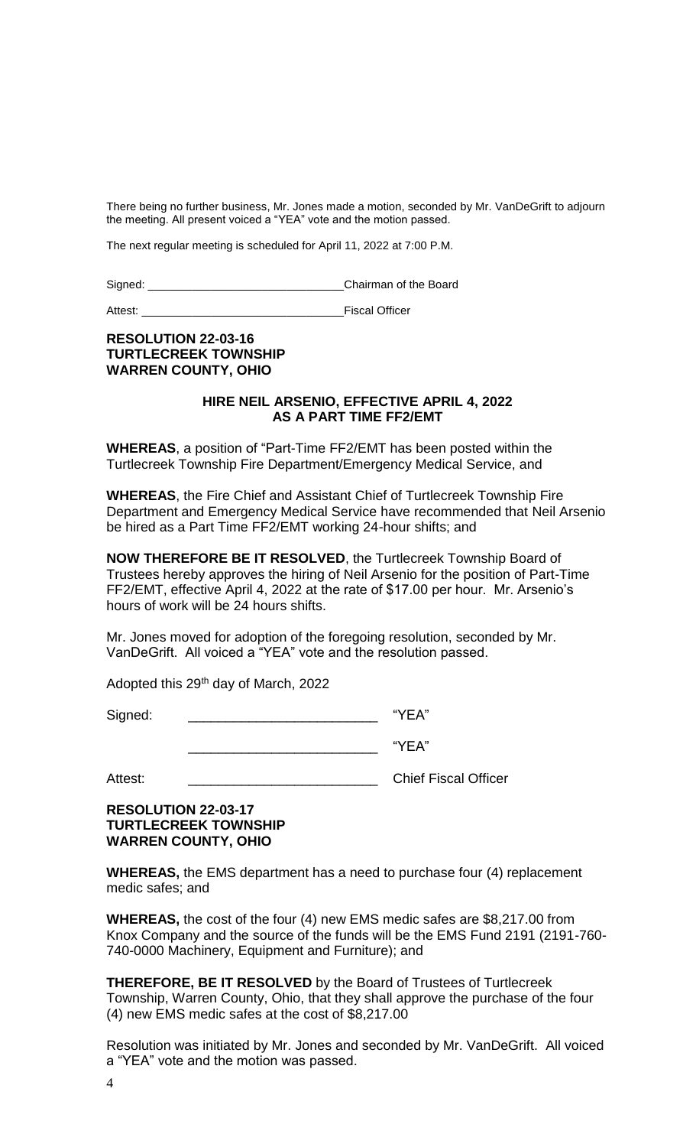There being no further business, Mr. Jones made a motion, seconded by Mr. VanDeGrift to adjourn the meeting. All present voiced a "YEA" vote and the motion passed.

The next regular meeting is scheduled for April 11, 2022 at 7:00 P.M.

Signed: \_\_\_\_\_\_\_\_\_\_\_\_\_\_\_\_\_\_\_\_\_\_\_\_\_\_\_\_\_\_\_Chairman of the Board

Attest: \_\_\_\_\_\_\_\_\_\_\_\_\_\_\_\_\_\_\_\_\_\_\_\_\_\_\_\_\_\_\_\_Fiscal Officer

# **RESOLUTION 22-03-16 TURTLECREEK TOWNSHIP WARREN COUNTY, OHIO**

## **HIRE NEIL ARSENIO, EFFECTIVE APRIL 4, 2022 AS A PART TIME FF2/EMT**

**WHEREAS**, a position of "Part-Time FF2/EMT has been posted within the Turtlecreek Township Fire Department/Emergency Medical Service, and

**WHEREAS**, the Fire Chief and Assistant Chief of Turtlecreek Township Fire Department and Emergency Medical Service have recommended that Neil Arsenio be hired as a Part Time FF2/EMT working 24-hour shifts; and

**NOW THEREFORE BE IT RESOLVED**, the Turtlecreek Township Board of Trustees hereby approves the hiring of Neil Arsenio for the position of Part-Time FF2/EMT, effective April 4, 2022 at the rate of \$17.00 per hour. Mr. Arsenio's hours of work will be 24 hours shifts.

Mr. Jones moved for adoption of the foregoing resolution, seconded by Mr. VanDeGrift. All voiced a "YEA" vote and the resolution passed.

Adopted this 29th day of March, 2022

Signed:  $\blacksquare$ 

\_\_\_\_\_\_\_\_\_\_\_\_\_\_\_\_\_\_\_\_\_\_\_\_\_ "YEA"

Attest: \_\_\_\_\_\_\_\_\_\_\_\_\_\_\_\_\_\_\_\_\_\_\_\_\_\_\_\_\_\_\_\_\_\_\_ Chief Fiscal Officer

# **RESOLUTION 22-03-17 TURTLECREEK TOWNSHIP WARREN COUNTY, OHIO**

**WHEREAS,** the EMS department has a need to purchase four (4) replacement medic safes; and

**WHEREAS,** the cost of the four (4) new EMS medic safes are \$8,217.00 from Knox Company and the source of the funds will be the EMS Fund 2191 (2191-760- 740-0000 Machinery, Equipment and Furniture); and

**THEREFORE, BE IT RESOLVED** by the Board of Trustees of Turtlecreek Township, Warren County, Ohio, that they shall approve the purchase of the four (4) new EMS medic safes at the cost of \$8,217.00

Resolution was initiated by Mr. Jones and seconded by Mr. VanDeGrift. All voiced a "YEA" vote and the motion was passed.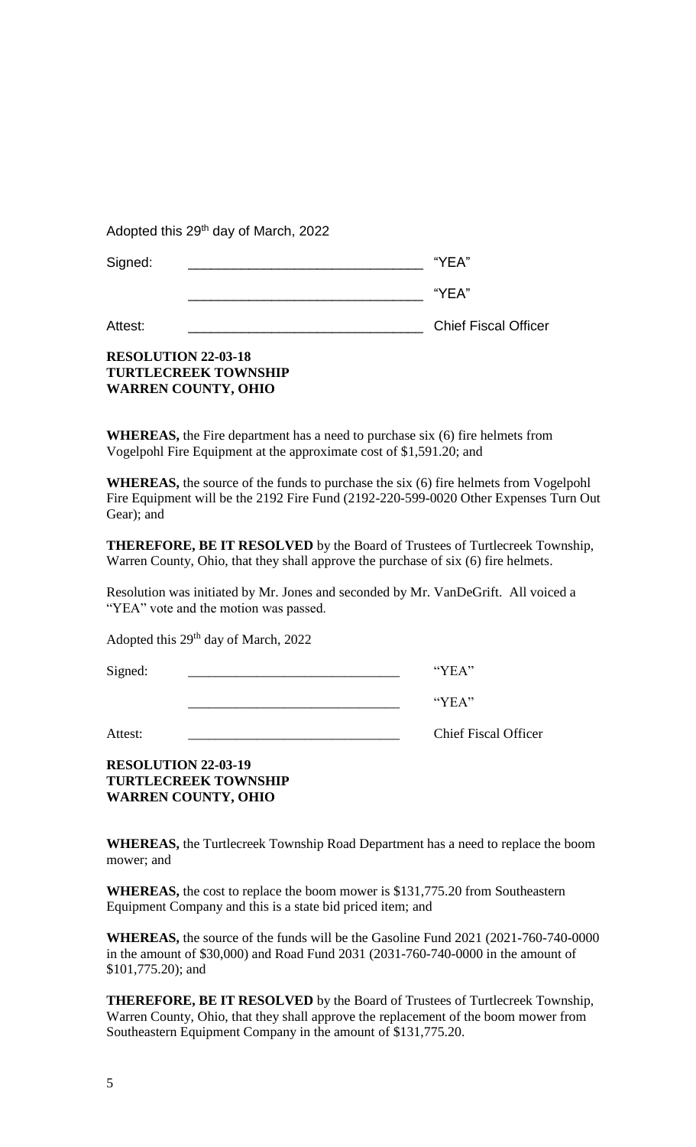Adopted this 29<sup>th</sup> day of March, 2022

| Signed: | "YEA" |
|---------|-------|
|         | "YEA" |

Attest: \_\_\_\_\_\_\_\_\_\_\_\_\_\_\_\_\_\_\_\_\_\_\_\_\_\_\_\_\_\_\_ Chief Fiscal Officer

# **RESOLUTION 22-03-18 TURTLECREEK TOWNSHIP WARREN COUNTY, OHIO**

**WHEREAS,** the Fire department has a need to purchase six (6) fire helmets from Vogelpohl Fire Equipment at the approximate cost of \$1,591.20; and

**WHEREAS,** the source of the funds to purchase the six (6) fire helmets from Vogelpohl Fire Equipment will be the 2192 Fire Fund (2192-220-599-0020 Other Expenses Turn Out Gear); and

**THEREFORE, BE IT RESOLVED** by the Board of Trustees of Turtlecreek Township, Warren County, Ohio, that they shall approve the purchase of six (6) fire helmets.

Resolution was initiated by Mr. Jones and seconded by Mr. VanDeGrift. All voiced a "YEA" vote and the motion was passed.

Adopted this  $29<sup>th</sup>$  day of March, 2022

Signed: \_\_\_\_\_\_\_\_\_\_\_\_\_\_\_\_\_\_\_\_\_\_\_\_\_\_\_\_\_\_\_ "YEA"

\_\_\_\_\_\_\_\_\_\_\_\_\_\_\_\_\_\_\_\_\_\_\_\_\_\_\_\_\_\_\_ "YEA"

Attest: **Example 2.1** Chief Fiscal Officer

**RESOLUTION 22-03-19 TURTLECREEK TOWNSHIP WARREN COUNTY, OHIO**

**WHEREAS,** the Turtlecreek Township Road Department has a need to replace the boom mower; and

**WHEREAS,** the cost to replace the boom mower is \$131,775.20 from Southeastern Equipment Company and this is a state bid priced item; and

**WHEREAS,** the source of the funds will be the Gasoline Fund 2021 (2021-760-740-0000 in the amount of \$30,000) and Road Fund 2031 (2031-760-740-0000 in the amount of \$101,775.20); and

**THEREFORE, BE IT RESOLVED** by the Board of Trustees of Turtlecreek Township, Warren County, Ohio, that they shall approve the replacement of the boom mower from Southeastern Equipment Company in the amount of \$131,775.20.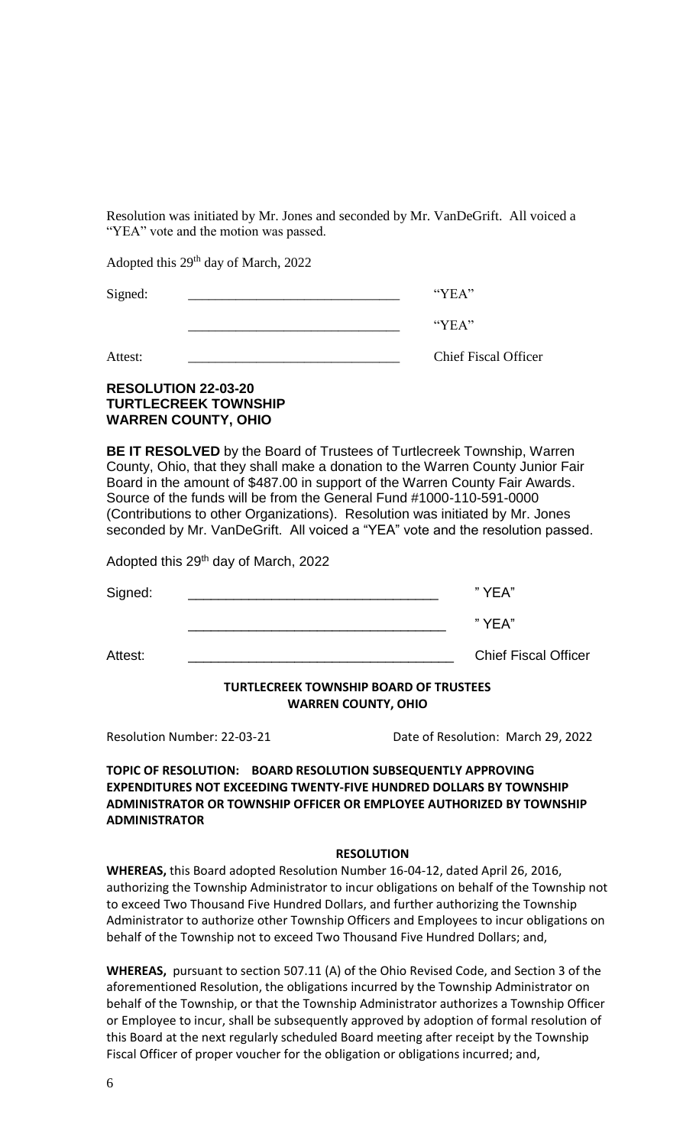Resolution was initiated by Mr. Jones and seconded by Mr. VanDeGrift. All voiced a "YEA" vote and the motion was passed.

Adopted this  $29<sup>th</sup>$  day of March, 2022

| Signed: | "YFA"                                                                                                                                                                                                                         |
|---------|-------------------------------------------------------------------------------------------------------------------------------------------------------------------------------------------------------------------------------|
|         | $\lq$ $\lq$ $\lq$ $\lq$ $\lq$ $\lq$ $\lq$ $\lq$ $\lq$ $\lq$ $\lq$ $\lq$ $\lq$ $\lq$ $\lq$ $\lq$ $\lq$ $\lq$ $\lq$ $\lq$ $\lq$ $\lq$ $\lq$ $\lq$ $\lq$ $\lq$ $\lq$ $\lq$ $\lq$ $\lq$ $\lq$ $\lq$ $\lq$ $\lq$ $\lq$ $\lq$ $\lq$ |
| Attest: | <b>Chief Fiscal Officer</b>                                                                                                                                                                                                   |

# **RESOLUTION 22-03-20 TURTLECREEK TOWNSHIP WARREN COUNTY, OHIO**

**BE IT RESOLVED** by the Board of Trustees of Turtlecreek Township, Warren County, Ohio, that they shall make a donation to the Warren County Junior Fair Board in the amount of \$487.00 in support of the Warren County Fair Awards. Source of the funds will be from the General Fund #1000-110-591-0000 (Contributions to other Organizations). Resolution was initiated by Mr. Jones seconded by Mr. VanDeGrift. All voiced a "YEA" vote and the resolution passed.

Adopted this 29<sup>th</sup> day of March, 2022

|         | <b>TURTLECREEK TOWNSHIP BOARD OF TRUSTEES</b> |                             |
|---------|-----------------------------------------------|-----------------------------|
| Attest: |                                               | <b>Chief Fiscal Officer</b> |
|         |                                               | " YEA"                      |
| Signed: |                                               | "YEA"                       |

**WARREN COUNTY, OHIO**

Resolution Number: 22-03-21 Date of Resolution: March 29, 2022

# **TOPIC OF RESOLUTION: BOARD RESOLUTION SUBSEQUENTLY APPROVING EXPENDITURES NOT EXCEEDING TWENTY-FIVE HUNDRED DOLLARS BY TOWNSHIP ADMINISTRATOR OR TOWNSHIP OFFICER OR EMPLOYEE AUTHORIZED BY TOWNSHIP ADMINISTRATOR**

## **RESOLUTION**

**WHEREAS,** this Board adopted Resolution Number 16-04-12, dated April 26, 2016, authorizing the Township Administrator to incur obligations on behalf of the Township not to exceed Two Thousand Five Hundred Dollars, and further authorizing the Township Administrator to authorize other Township Officers and Employees to incur obligations on behalf of the Township not to exceed Two Thousand Five Hundred Dollars; and,

**WHEREAS,** pursuant to section 507.11 (A) of the Ohio Revised Code, and Section 3 of the aforementioned Resolution, the obligations incurred by the Township Administrator on behalf of the Township, or that the Township Administrator authorizes a Township Officer or Employee to incur, shall be subsequently approved by adoption of formal resolution of this Board at the next regularly scheduled Board meeting after receipt by the Township Fiscal Officer of proper voucher for the obligation or obligations incurred; and,